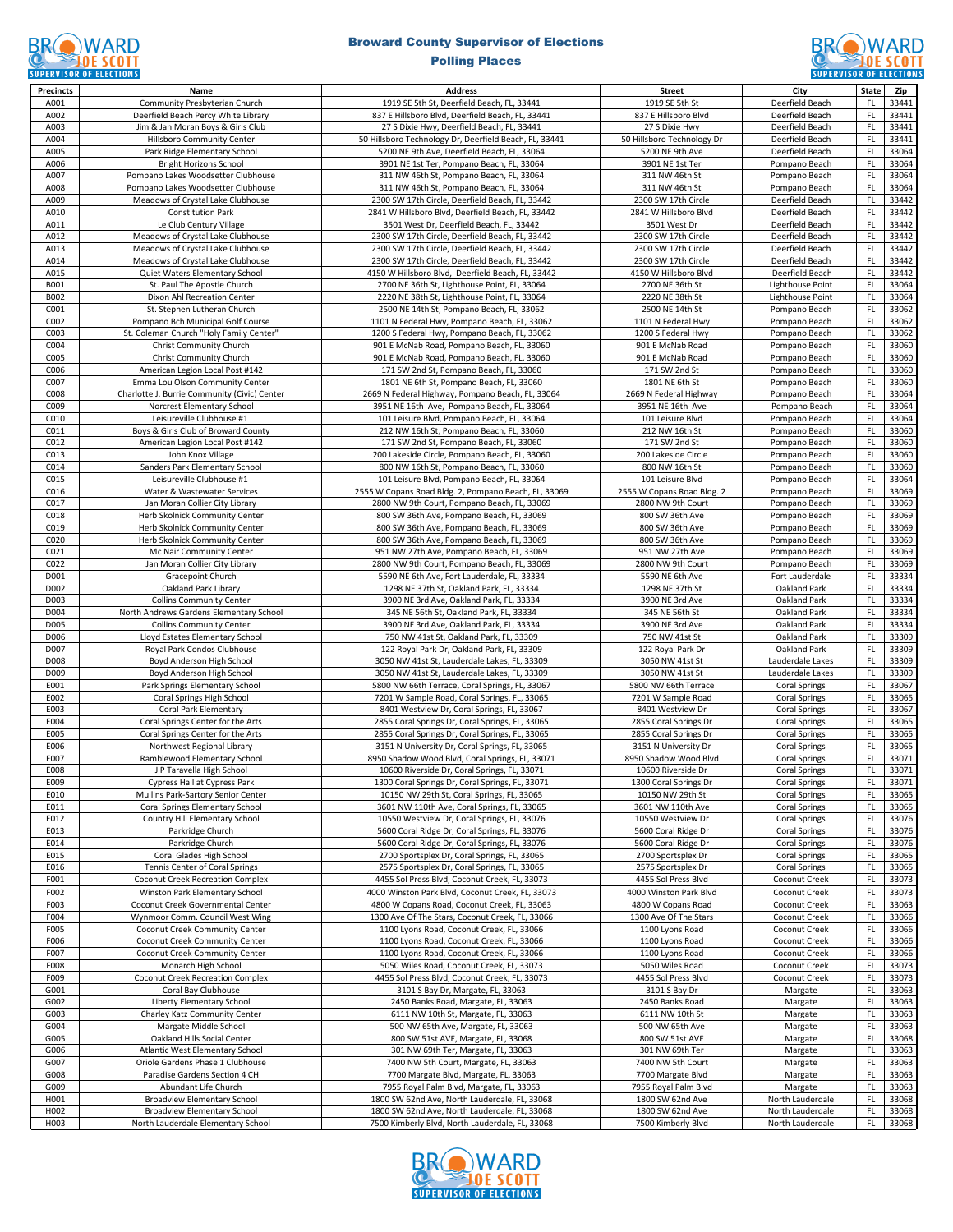### **BROWARD CONTROLL SCOTT**

# Broward County Supervisor of Elections



| <b>Precincts</b> | Name                                         | <b>Address</b>                                         | <b>Street</b>                     | City                    | State         | Zip   |
|------------------|----------------------------------------------|--------------------------------------------------------|-----------------------------------|-------------------------|---------------|-------|
| A001             | Community Presbyterian Church                | 1919 SE 5th St, Deerfield Beach, FL, 33441             | 1919 SE 5th St                    | Deerfield Beach         | <b>FL</b>     | 33441 |
| A002             | Deerfield Beach Percy White Library          | 837 E Hillsboro Blvd, Deerfield Beach, FL, 33441       | 837 E Hillsboro Blvd              | Deerfield Beach         | FL            | 33441 |
| A003             | Jim & Jan Moran Boys & Girls Club            | 27 S Dixie Hwy, Deerfield Beach, FL, 33441             | 27 S Dixie Hwy                    | Deerfield Beach         | FL.           | 33441 |
| A004             | Hillsboro Community Center                   | 50 Hillsboro Technology Dr, Deerfield Beach, FL, 33441 | 50 Hillsboro Technology Dr        | Deerfield Beach         | FL            | 33441 |
| A005             | Park Ridge Elementary School                 | 5200 NE 9th Ave, Deerfield Beach, FL, 33064            | 5200 NE 9th Ave                   | Deerfield Beach         | FL.           | 33064 |
| A006             | <b>Bright Horizons School</b>                | 3901 NE 1st Ter, Pompano Beach, FL, 33064              | 3901 NE 1st Ter                   | Pompano Beach           | FL            | 33064 |
| A007             | Pompano Lakes Woodsetter Clubhouse           | 311 NW 46th St, Pompano Beach, FL, 33064               | 311 NW 46th St                    | Pompano Beach           | FL            | 33064 |
| A008             | Pompano Lakes Woodsetter Clubhouse           | 311 NW 46th St, Pompano Beach, FL, 33064               | 311 NW 46th St                    | Pompano Beach           | FL.           | 33064 |
| A009             | Meadows of Crystal Lake Clubhouse            | 2300 SW 17th Circle, Deerfield Beach, FL, 33442        | 2300 SW 17th Circle               | Deerfield Beach         | FL            | 33442 |
| A010             | <b>Constitution Park</b>                     | 2841 W Hillsboro Blvd, Deerfield Beach, FL, 33442      | 2841 W Hillsboro Blvd             | Deerfield Beach         | FL.           | 33442 |
| A011             | Le Club Century Village                      | 3501 West Dr, Deerfield Beach, FL, 33442               | 3501 West Dr                      | Deerfield Beach         | FL            | 33442 |
| A012             | Meadows of Crystal Lake Clubhouse            | 2300 SW 17th Circle, Deerfield Beach, FL, 33442        | 2300 SW 17th Circle               | Deerfield Beach         | FL            | 33442 |
| A013             | Meadows of Crystal Lake Clubhouse            | 2300 SW 17th Circle, Deerfield Beach, FL, 33442        | 2300 SW 17th Circle               | Deerfield Beach         | FL.           | 33442 |
| A014             | Meadows of Crystal Lake Clubhouse            | 2300 SW 17th Circle, Deerfield Beach, FL, 33442        | 2300 SW 17th Circle               | Deerfield Beach         | FL            | 33442 |
| A015             | Quiet Waters Elementary School               | 4150 W Hillsboro Blvd, Deerfield Beach, FL, 33442      | 4150 W Hillsboro Blvd             | Deerfield Beach         | FL.           | 33442 |
| B001             | St. Paul The Apostle Church                  | 2700 NE 36th St, Lighthouse Point, FL, 33064           | 2700 NE 36th St                   | <b>Lighthouse Point</b> | <b>FL</b>     | 33064 |
| B002             | Dixon Ahl Recreation Center                  | 2220 NE 38th St, Lighthouse Point, FL, 33064           | 2220 NE 38th St                   | Lighthouse Point        | FL            | 33064 |
|                  | St. Stephen Lutheran Church                  | 2500 NE 14th St, Pompano Beach, FL, 33062              | 2500 NE 14th St                   |                         | FL            | 33062 |
| C001             |                                              |                                                        |                                   | Pompano Beach           |               |       |
| C002             | Pompano Bch Municipal Golf Course            | 1101 N Federal Hwy, Pompano Beach, FL, 33062           | 1101 N Federal Hwy                | Pompano Beach           | <b>FL</b>     | 33062 |
| C003             | St. Coleman Church "Holy Family Center"      | 1200 S Federal Hwy, Pompano Beach, FL, 33062           | 1200 S Federal Hwy                | Pompano Beach           | FL            | 33062 |
| C004             | Christ Community Church                      | 901 E McNab Road, Pompano Beach, FL, 33060             | 901 E McNab Road                  | Pompano Beach           | FL            | 33060 |
| C005             | Christ Community Church                      | 901 E McNab Road, Pompano Beach, FL, 33060             | 901 E McNab Road                  | Pompano Beach           | FL            | 33060 |
| C006             | American Legion Local Post #142              | 171 SW 2nd St, Pompano Beach, FL, 33060                | 171 SW 2nd St                     | Pompano Beach           | <b>FL</b>     | 33060 |
| C007             | Emma Lou Olson Community Center              | 1801 NE 6th St, Pompano Beach, FL, 33060               | 1801 NE 6th St                    | Pompano Beach           | <b>FL</b>     | 33060 |
| C008             | Charlotte J. Burrie Community (Civic) Center | 2669 N Federal Highway, Pompano Beach, FL, 33064       | 2669 N Federal Highway            | Pompano Beach           | FL            | 33064 |
| C009             | Norcrest Elementary School                   | 3951 NE 16th Ave, Pompano Beach, FL, 33064             | 3951 NE 16th Ave                  | Pompano Beach           | <b>FL</b>     | 33064 |
| C010             | Leisureville Clubhouse #1                    | 101 Leisure Blvd, Pompano Beach, FL, 33064             | 101 Leisure Blvd                  | Pompano Beach           | FL            | 33064 |
| C011             | Boys & Girls Club of Broward County          | 212 NW 16th St, Pompano Beach, FL, 33060               | 212 NW 16th St                    | Pompano Beach           | FL            | 33060 |
| C012             | American Legion Local Post #142              | 171 SW 2nd St, Pompano Beach, FL, 33060                | 171 SW 2nd St                     | Pompano Beach           | <b>FL</b>     | 33060 |
| C013             | John Knox Village                            | 200 Lakeside Circle, Pompano Beach, FL, 33060          | 200 Lakeside Circle               | Pompano Beach           | FL            | 33060 |
| C014             | Sanders Park Elementary School               | 800 NW 16th St, Pompano Beach, FL, 33060               | 800 NW 16th St                    | Pompano Beach           | FL            | 33060 |
| C015             | Leisureville Clubhouse #1                    | 101 Leisure Blvd, Pompano Beach, FL, 33064             | 101 Leisure Blvd                  | Pompano Beach           | FL            | 33064 |
| C016             | Water & Wastewater Services                  | 2555 W Copans Road Bldg. 2, Pompano Beach, FL, 33069   | 2555 W Copans Road Bldg. 2        | Pompano Beach           | <b>FL</b>     | 33069 |
| C017             | Jan Moran Collier City Library               | 2800 NW 9th Court, Pompano Beach, FL, 33069            | 2800 NW 9th Court                 | Pompano Beach           | <b>FL</b>     | 33069 |
| C018             | Herb Skolnick Community Center               | 800 SW 36th Ave, Pompano Beach, FL, 33069              | 800 SW 36th Ave                   | Pompano Beach           | FL            | 33069 |
| C019             | Herb Skolnick Community Center               | 800 SW 36th Ave, Pompano Beach, FL, 33069              | 800 SW 36th Ave                   | Pompano Beach           | <b>FL</b>     | 33069 |
| C020             | Herb Skolnick Community Center               | 800 SW 36th Ave, Pompano Beach, FL, 33069              | 800 SW 36th Ave                   | Pompano Beach           | FL            | 33069 |
| C021             | Mc Nair Community Center                     | 951 NW 27th Ave, Pompano Beach, FL, 33069              | 951 NW 27th Ave                   | Pompano Beach           | FL            | 33069 |
| C022             | Jan Moran Collier City Library               | 2800 NW 9th Court, Pompano Beach, FL, 33069            | 2800 NW 9th Court                 | Pompano Beach           | FL.           | 33069 |
| D001             | Gracepoint Church                            | 5590 NE 6th Ave, Fort Lauderdale, FL, 33334            | 5590 NE 6th Ave                   | Fort Lauderdale         | FL            | 33334 |
| D002             | Oakland Park Library                         | 1298 NE 37th St, Oakland Park, FL, 33334               | 1298 NE 37th St                   | Oakland Park            | FL            | 33334 |
| D003             | <b>Collins Community Center</b>              | 3900 NE 3rd Ave, Oakland Park, FL, 33334               | 3900 NE 3rd Ave                   | Oakland Park            | FL            | 33334 |
| D004             |                                              |                                                        |                                   | Oakland Park            | FL            | 33334 |
| D005             | North Andrews Gardens Elementary School      | 345 NE 56th St, Oakland Park, FL, 33334                | 345 NE 56th St<br>3900 NE 3rd Ave | Oakland Park            | FL.           | 33334 |
|                  | <b>Collins Community Center</b>              | 3900 NE 3rd Ave, Oakland Park, FL, 33334               |                                   |                         |               |       |
| D006             | Lloyd Estates Elementary School              | 750 NW 41st St, Oakland Park, FL, 33309                | 750 NW 41st St                    | Oakland Park            | FL            | 33309 |
| D007             | Royal Park Condos Clubhouse                  | 122 Royal Park Dr, Oakland Park, FL, 33309             | 122 Royal Park Dr                 | Oakland Park            | FL            | 33309 |
| D008             | Boyd Anderson High School                    | 3050 NW 41st St, Lauderdale Lakes, FL, 33309           | 3050 NW 41st St                   | Lauderdale Lakes        | FL            | 33309 |
| D009             | Boyd Anderson High School                    | 3050 NW 41st St, Lauderdale Lakes, FL, 33309           | 3050 NW 41st St                   | Lauderdale Lakes        | FL            | 33309 |
| E001             | Park Springs Elementary School               | 5800 NW 66th Terrace, Coral Springs, FL, 33067         | 5800 NW 66th Terrace              | <b>Coral Springs</b>    | FL.           | 33067 |
| E002             | Coral Springs High School                    | 7201 W Sample Road, Coral Springs, FL, 33065           | 7201 W Sample Road                | <b>Coral Springs</b>    | FL            | 33065 |
| E003             | Coral Park Elementary                        | 8401 Westview Dr, Coral Springs, FL, 33067             | 8401 Westview Dr                  | <b>Coral Springs</b>    | FL            | 33067 |
| E004             | Coral Springs Center for the Arts            | 2855 Coral Springs Dr, Coral Springs, FL, 33065        | 2855 Coral Springs Dr             | <b>Coral Springs</b>    | FL            | 33065 |
| E005             | Coral Springs Center for the Arts            | 2855 Coral Springs Dr, Coral Springs, FL, 33065        | 2855 Coral Springs Dr             | <b>Coral Springs</b>    | FL            | 33065 |
| E006             | Northwest Regional Library                   | 3151 N University Dr, Coral Springs, FL, 33065         | 3151 N University Dr              | <b>Coral Springs</b>    | <b>FL</b>     | 33065 |
| E007             | Ramblewood Elementary School                 | 8950 Shadow Wood Blvd, Coral Springs, FL, 33071        | 8950 Shadow Wood Blvd             | <b>Coral Springs</b>    | FL            | 33071 |
| E008             | J P Taravella High School                    | 10600 Riverside Dr, Coral Springs, FL, 33071           | 10600 Riverside Dr                | <b>Coral Springs</b>    | FL            | 33071 |
| E009             | Cypress Hall at Cypress Park                 | 1300 Coral Springs Dr, Coral Springs, FL, 33071        | 1300 Coral Springs Dr             | <b>Coral Springs</b>    | FL.           | 33071 |
| E010             | Mullins Park-Sartory Senior Center           | 10150 NW 29th St, Coral Springs, FL, 33065             | 10150 NW 29th St                  | <b>Coral Springs</b>    | FL            | 33065 |
| E011             | Coral Springs Elementary School              | 3601 NW 110th Ave, Coral Springs, FL, 33065            | 3601 NW 110th Ave                 | <b>Coral Springs</b>    | FL.           | 33065 |
| E012             | Country Hill Elementary School               | 10550 Westview Dr, Coral Springs, FL, 33076            | 10550 Westview Dr                 | <b>Coral Springs</b>    | <b>FL</b>     | 33076 |
| E013             | Parkridge Church                             | 5600 Coral Ridge Dr, Coral Springs, FL, 33076          | 5600 Coral Ridge Dr               | <b>Coral Springs</b>    | <b>FL</b>     | 33076 |
| E014             | Parkridge Church                             | 5600 Coral Ridge Dr, Coral Springs, FL, 33076          | 5600 Coral Ridge Dr               | <b>Coral Springs</b>    | $\mathsf{FL}$ | 33076 |
| E015             | Coral Glades High School                     | 2700 Sportsplex Dr, Coral Springs, FL, 33065           | 2700 Sportsplex Dr                | <b>Coral Springs</b>    | FL.           | 33065 |
| E016             | Tennis Center of Coral Springs               | 2575 Sportsplex Dr, Coral Springs, FL, 33065           | 2575 Sportsplex Dr                | <b>Coral Springs</b>    | FL.           | 33065 |
| F001             | <b>Coconut Creek Recreation Complex</b>      | 4455 Sol Press Blvd, Coconut Creek, FL, 33073          | 4455 Sol Press Blvd               | Coconut Creek           | FL            | 33073 |
| F002             | Winston Park Elementary School               | 4000 Winston Park Blvd, Coconut Creek, FL, 33073       | 4000 Winston Park Blvd            | Coconut Creek           | <b>FL</b>     | 33073 |
| F003             | Coconut Creek Governmental Center            | 4800 W Copans Road, Coconut Creek, FL, 33063           | 4800 W Copans Road                | Coconut Creek           | <b>FL</b>     | 33063 |
| F004             | Wynmoor Comm. Council West Wing              | 1300 Ave Of The Stars, Coconut Creek, FL, 33066        | 1300 Ave Of The Stars             | Coconut Creek           | FL            | 33066 |
| F005             | Coconut Creek Community Center               | 1100 Lyons Road, Coconut Creek, FL, 33066              | 1100 Lyons Road                   | Coconut Creek           | FL            | 33066 |
| F006             | Coconut Creek Community Center               | 1100 Lyons Road, Coconut Creek, FL, 33066              | 1100 Lyons Road                   | Coconut Creek           | FL            | 33066 |
| F007             | Coconut Creek Community Center               | 1100 Lyons Road, Coconut Creek, FL, 33066              | 1100 Lyons Road                   | Coconut Creek           | FL            | 33066 |
| F008             | Monarch High School                          | 5050 Wiles Road, Coconut Creek, FL, 33073              | 5050 Wiles Road                   | Coconut Creek           | FL.           | 33073 |
| F009             |                                              |                                                        | 4455 Sol Press Blvd               | Coconut Creek           | <b>FL</b>     | 33073 |
|                  | Coconut Creek Recreation Complex             | 4455 Sol Press Blvd, Coconut Creek, FL, 33073          |                                   |                         |               |       |
| G001             | Coral Bay Clubhouse                          | 3101 S Bay Dr, Margate, FL, 33063                      | 3101 S Bay Dr                     | Margate                 | <b>FL</b>     | 33063 |
| G002             | Liberty Elementary School                    | 2450 Banks Road, Margate, FL, 33063                    | 2450 Banks Road                   | Margate                 | $\mathsf{FL}$ | 33063 |
| G003             | Charley Katz Community Center                | 6111 NW 10th St, Margate, FL, 33063                    | 6111 NW 10th St                   | Margate                 | <b>FL</b>     | 33063 |
| G004             | Margate Middle School                        | 500 NW 65th Ave, Margate, FL, 33063                    | 500 NW 65th Ave                   | Margate                 | <b>FL</b>     | 33063 |
| G005             | Oakland Hills Social Center                  | 800 SW 51st AVE, Margate, FL, 33068                    | 800 SW 51st AVE                   | Margate                 | <b>FL</b>     | 33068 |
| G006             | Atlantic West Elementary School              | 301 NW 69th Ter, Margate, FL, 33063                    | 301 NW 69th Ter                   | Margate                 | FL            | 33063 |
| G007             | Oriole Gardens Phase 1 Clubhouse             | 7400 NW 5th Court, Margate, FL, 33063                  | 7400 NW 5th Court                 | Margate                 | <b>FL</b>     | 33063 |
| G008             | Paradise Gardens Section 4 CH                | 7700 Margate Blvd, Margate, FL, 33063                  | 7700 Margate Blvd                 | Margate                 | <b>FL</b>     | 33063 |
| G009             | Abundant Life Church                         | 7955 Royal Palm Blvd, Margate, FL, 33063               | 7955 Royal Palm Blvd              | Margate                 | FL.           | 33063 |
| H001             | <b>Broadview Elementary School</b>           | 1800 SW 62nd Ave, North Lauderdale, FL, 33068          | 1800 SW 62nd Ave                  | North Lauderdale        | <b>FL</b>     | 33068 |
| H002             | <b>Broadview Elementary School</b>           | 1800 SW 62nd Ave, North Lauderdale, FL, 33068          | 1800 SW 62nd Ave                  | North Lauderdale        | FL            | 33068 |
| H003             | North Lauderdale Elementary School           | 7500 Kimberly Blvd, North Lauderdale, FL, 33068        | 7500 Kimberly Blvd                | North Lauderdale        | FL.           | 33068 |

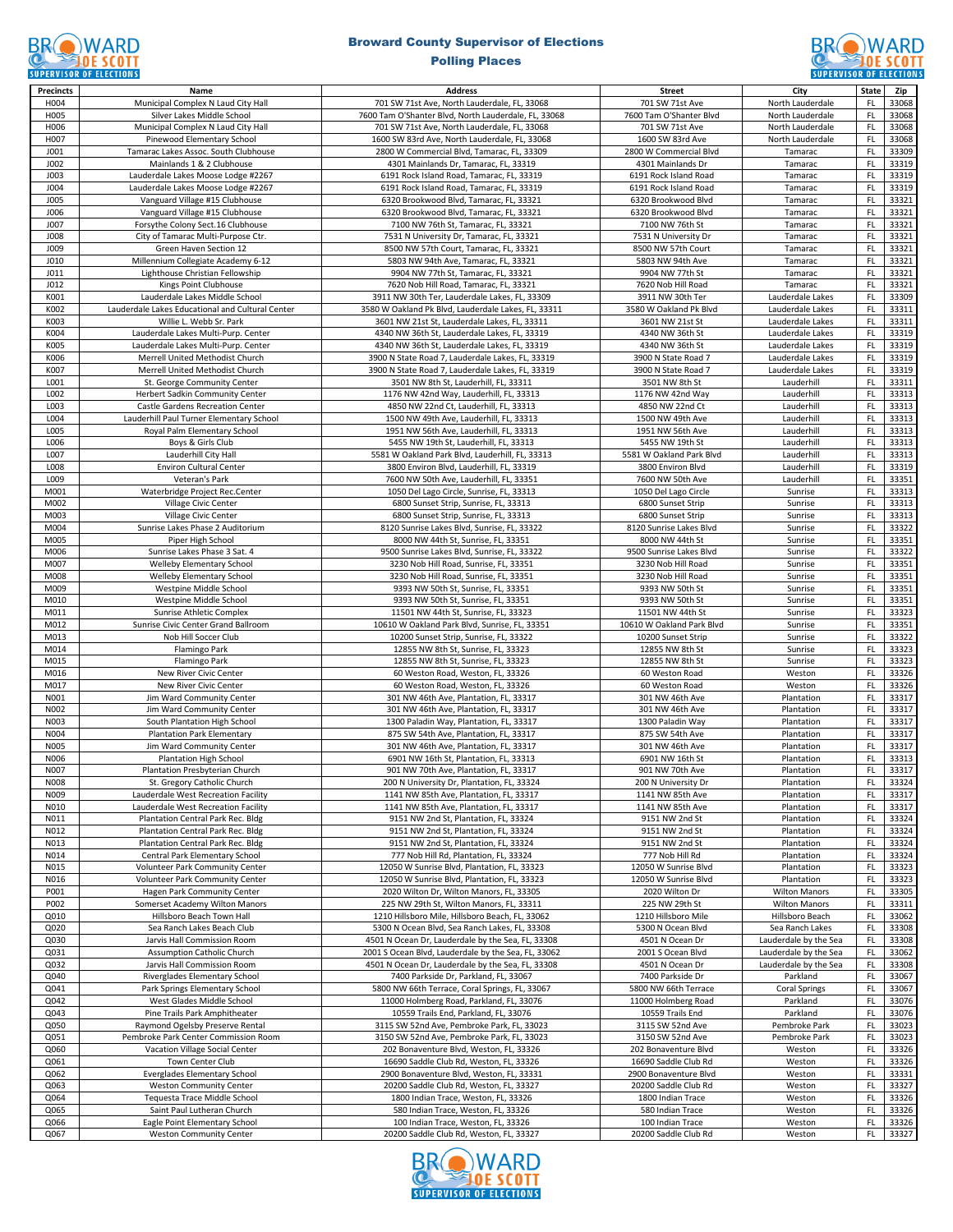### **BROWARD CONTROLL SCOTT**

# Broward County Supervisor of Elections



| <b>Precincts</b> | Name                                             | <b>Address</b>                                       | <b>Street</b>             | City                  | <b>State</b> | Zip   |
|------------------|--------------------------------------------------|------------------------------------------------------|---------------------------|-----------------------|--------------|-------|
| H004             | Municipal Complex N Laud City Hall               | 701 SW 71st Ave, North Lauderdale, FL, 33068         | 701 SW 71st Ave           | North Lauderdale      | FL.          | 33068 |
| H005             | Silver Lakes Middle School                       | 7600 Tam O'Shanter Blvd, North Lauderdale, FL, 33068 | 7600 Tam O'Shanter Blvd   | North Lauderdale      | FL           | 33068 |
|                  |                                                  |                                                      | 701 SW 71st Ave           |                       | FL           | 33068 |
| H006             | Municipal Complex N Laud City Hall               | 701 SW 71st Ave, North Lauderdale, FL, 33068         |                           | North Lauderdale      |              |       |
| H007             | Pinewood Elementary School                       | 1600 SW 83rd Ave, North Lauderdale, FL, 33068        | 1600 SW 83rd Ave          | North Lauderdale      | FL           | 33068 |
| J001             | Tamarac Lakes Assoc. South Clubhouse             | 2800 W Commercial Blvd, Tamarac, FL, 33309           | 2800 W Commercial Blvd    | Tamarac               | FL.          | 33309 |
| J002             | Mainlands 1 & 2 Clubhouse                        | 4301 Mainlands Dr, Tamarac, FL, 33319                | 4301 Mainlands Dr         | Tamarac               | FL           | 33319 |
| J003             | Lauderdale Lakes Moose Lodge #2267               | 6191 Rock Island Road, Tamarac, FL, 33319            | 6191 Rock Island Road     | Tamarac               | FL           | 33319 |
| J004             | Lauderdale Lakes Moose Lodge #2267               | 6191 Rock Island Road, Tamarac, FL, 33319            | 6191 Rock Island Road     | Tamarac               | FL           | 33319 |
| <b>JO05</b>      | Vanguard Village #15 Clubhouse                   | 6320 Brookwood Blvd, Tamarac, FL, 33321              | 6320 Brookwood Blvd       | Tamarac               | FL.          | 33321 |
| J006             | Vanguard Village #15 Clubhouse                   | 6320 Brookwood Blvd, Tamarac, FL, 33321              | 6320 Brookwood Blvd       | Tamarac               | FL           | 33321 |
| J007             | Forsythe Colony Sect.16 Clubhouse                | 7100 NW 76th St, Tamarac, FL, 33321                  | 7100 NW 76th St           | Tamarac               | FL           | 33321 |
|                  |                                                  |                                                      |                           |                       |              |       |
| <b>JO08</b>      | City of Tamarac Multi-Purpose Ctr.               | 7531 N University Dr, Tamarac, FL, 33321             | 7531 N University Dr      | Tamarac               | FL           | 33321 |
| J009             | Green Haven Section 12                           | 8500 NW 57th Court, Tamarac, FL, 33321               | 8500 NW 57th Court        | Tamarac               | FL           | 33321 |
| J010             | Millennium Collegiate Academy 6-12               | 5803 NW 94th Ave, Tamarac, FL, 33321                 | 5803 NW 94th Ave          | Tamarac               | FL           | 33321 |
| J011             | Lighthouse Christian Fellowship                  | 9904 NW 77th St, Tamarac, FL, 33321                  | 9904 NW 77th St           | Tamarac               | FL           | 33321 |
| J012             | Kings Point Clubhouse                            | 7620 Nob Hill Road, Tamarac, FL, 33321               | 7620 Nob Hill Road        | Tamarac               | FL.          | 33321 |
| K001             | Lauderdale Lakes Middle School                   | 3911 NW 30th Ter, Lauderdale Lakes, FL, 33309        | 3911 NW 30th Ter          | Lauderdale Lakes      | FL           | 33309 |
| K002             | Lauderdale Lakes Educational and Cultural Center | 3580 W Oakland Pk Blvd, Lauderdale Lakes, FL, 33311  | 3580 W Oakland Pk Blvd    | Lauderdale Lakes      | FL           | 33311 |
| K003             | Willie L. Webb Sr. Park                          | 3601 NW 21st St, Lauderdale Lakes, FL, 33311         | 3601 NW 21st St           | Lauderdale Lakes      | FL.          | 33311 |
|                  |                                                  |                                                      |                           |                       |              |       |
| K004             | Lauderdale Lakes Multi-Purp. Center              | 4340 NW 36th St, Lauderdale Lakes, FL, 33319         | 4340 NW 36th St           | Lauderdale Lakes      | FL           | 33319 |
| K005             | Lauderdale Lakes Multi-Purp. Center              | 4340 NW 36th St, Lauderdale Lakes, FL, 33319         | 4340 NW 36th St           | Lauderdale Lakes      | FL           | 33319 |
| K006             | Merrell United Methodist Church                  | 3900 N State Road 7, Lauderdale Lakes, FL, 33319     | 3900 N State Road 7       | Lauderdale Lakes      | FL           | 33319 |
| K007             | Merrell United Methodist Church                  | 3900 N State Road 7, Lauderdale Lakes, FL, 33319     | 3900 N State Road 7       | Lauderdale Lakes      | FL           | 33319 |
| L001             | St. George Community Center                      | 3501 NW 8th St, Lauderhill, FL, 33311                | 3501 NW 8th St            | Lauderhill            | FL.          | 33311 |
| L002             | Herbert Sadkin Community Center                  | 1176 NW 42nd Way, Lauderhill, FL, 33313              | 1176 NW 42nd Way          | Lauderhill            | FL           | 33313 |
| L003             | Castle Gardens Recreation Center                 | 4850 NW 22nd Ct, Lauderhill, FL, 33313               | 4850 NW 22nd Ct           | Lauderhill            | FL           | 33313 |
| L004             | Lauderhill Paul Turner Elementary School         | 1500 NW 49th Ave, Lauderhill, FL, 33313              | 1500 NW 49th Ave          | Lauderhill            | FL           | 33313 |
| L005             |                                                  | 1951 NW 56th Ave, Lauderhill, FL, 33313              | 1951 NW 56th Ave          | Lauderhill            | FL           | 33313 |
|                  | Royal Palm Elementary School                     |                                                      |                           |                       |              |       |
| L006             | Boys & Girls Club                                | 5455 NW 19th St, Lauderhill, FL, 33313               | 5455 NW 19th St           | Lauderhill            | FL           | 33313 |
| L007             | Lauderhill City Hall                             | 5581 W Oakland Park Blvd, Lauderhill, FL, 33313      | 5581 W Oakland Park Blvd  | Lauderhill            | FL           | 33313 |
| L008             | <b>Environ Cultural Center</b>                   | 3800 Environ Blvd, Lauderhill, FL, 33319             | 3800 Environ Blvd         | Lauderhill            | FL           | 33319 |
| L009             | Veteran's Park                                   | 7600 NW 50th Ave, Lauderhill, FL, 33351              | 7600 NW 50th Ave          | Lauderhill            | FL           | 33351 |
| M001             | Waterbridge Project Rec.Center                   | 1050 Del Lago Circle, Sunrise, FL, 33313             | 1050 Del Lago Circle      | Sunrise               | FL           | 33313 |
| M002             | Village Civic Center                             | 6800 Sunset Strip, Sunrise, FL, 33313                | 6800 Sunset Strip         | Sunrise               | FL.          | 33313 |
| M003             | Village Civic Center                             | 6800 Sunset Strip, Sunrise, FL, 33313                | 6800 Sunset Strip         | Sunrise               | FL           | 33313 |
| M004             | Sunrise Lakes Phase 2 Auditorium                 | 8120 Sunrise Lakes Blvd, Sunrise, FL, 33322          | 8120 Sunrise Lakes Blvd   | Sunrise               | FL           | 33322 |
|                  |                                                  |                                                      |                           |                       |              |       |
| M005             | Piper High School                                | 8000 NW 44th St, Sunrise, FL, 33351                  | 8000 NW 44th St           | Sunrise               | FL           | 33351 |
| M006             | Sunrise Lakes Phase 3 Sat. 4                     | 9500 Sunrise Lakes Blvd, Sunrise, FL, 33322          | 9500 Sunrise Lakes Blvd   | Sunrise               | FL           | 33322 |
| M007             | Welleby Elementary School                        | 3230 Nob Hill Road, Sunrise, FL, 33351               | 3230 Nob Hill Road        | Sunrise               | FL           | 33351 |
| M008             | Welleby Elementary School                        | 3230 Nob Hill Road, Sunrise, FL, 33351               | 3230 Nob Hill Road        | Sunrise               | FL           | 33351 |
| M009             | Westpine Middle School                           | 9393 NW 50th St, Sunrise, FL, 33351                  | 9393 NW 50th St           | Sunrise               | FL           | 33351 |
| M010             | Westpine Middle School                           | 9393 NW 50th St, Sunrise, FL, 33351                  | 9393 NW 50th St           | Sunrise               | FL           | 33351 |
| M011             | Sunrise Athletic Complex                         | 11501 NW 44th St, Sunrise, FL, 33323                 | 11501 NW 44th St          | Sunrise               | FL           | 33323 |
| M012             | Sunrise Civic Center Grand Ballroom              | 10610 W Oakland Park Blvd, Sunrise, FL, 33351        | 10610 W Oakland Park Blvd | Sunrise               | FL           | 33351 |
|                  |                                                  |                                                      |                           |                       |              |       |
| M013             | Nob Hill Soccer Club                             | 10200 Sunset Strip, Sunrise, FL, 33322               | 10200 Sunset Strip        | Sunrise               | FL           | 33322 |
| M014             | Flamingo Park                                    | 12855 NW 8th St, Sunrise, FL, 33323                  | 12855 NW 8th St           | Sunrise               | FL           | 33323 |
| M015             | Flamingo Park                                    | 12855 NW 8th St, Sunrise, FL, 33323                  | 12855 NW 8th St           | Sunrise               | FL           | 33323 |
| M016             | New River Civic Center                           | 60 Weston Road, Weston, FL, 33326                    | 60 Weston Road            | Weston                | FL           | 33326 |
| M017             | New River Civic Center                           | 60 Weston Road, Weston, FL, 33326                    | 60 Weston Road            | Weston                | FL.          | 33326 |
| N001             | Jim Ward Community Center                        | 301 NW 46th Ave, Plantation, FL, 33317               | 301 NW 46th Ave           | Plantation            | FL           | 33317 |
| N002             | Jim Ward Community Center                        | 301 NW 46th Ave, Plantation, FL, 33317               | 301 NW 46th Ave           | Plantation            | FL           | 33317 |
| N003             | South Plantation High School                     | 1300 Paladin Way, Plantation, FL, 33317              | 1300 Paladin Way          | Plantation            | FL           | 33317 |
|                  |                                                  | 875 SW 54th Ave, Plantation, FL, 33317               |                           | Plantation            | FL           | 33317 |
| N004             | <b>Plantation Park Elementary</b>                |                                                      | 875 SW 54th Ave           |                       |              |       |
| <b>N005</b>      | Jim Ward Community Center                        | 301 NW 46th Ave, Plantation, FL, 33317               | 301 NW 46th Ave           | Plantation            | FL           | 33317 |
| N006             | Plantation High School                           | 6901 NW 16th St, Plantation, FL, 33313               | 6901 NW 16th St           | Plantation            | FL           | 33313 |
| N007             | Plantation Presbyterian Church                   | 901 NW 70th Ave, Plantation, FL, 33317               | 901 NW 70th Ave           | Plantation            | FL           | 33317 |
| N008             | St. Gregory Catholic Church                      | 200 N University Dr, Plantation, FL, 33324           | 200 N University Dr       | Plantation            | FL.          | 33324 |
| N009             | Lauderdale West Recreation Facility              | 1141 NW 85th Ave, Plantation, FL, 33317              | 1141 NW 85th Ave          | Plantation            | FL.          | 33317 |
| N010             | Lauderdale West Recreation Facility              | 1141 NW 85th Ave, Plantation, FL, 33317              | 1141 NW 85th Ave          | Plantation            | FL           | 33317 |
| N011             | Plantation Central Park Rec. Bldg                | 9151 NW 2nd St, Plantation, FL, 33324                | 9151 NW 2nd St            | Plantation            | FL           | 33324 |
| N012             | Plantation Central Park Rec. Bldg                | 9151 NW 2nd St, Plantation, FL, 33324                | 9151 NW 2nd St            | Plantation            | FL           | 33324 |
| N013             | Plantation Central Park Rec. Bldg                | 9151 NW 2nd St, Plantation, FL, 33324                | 9151 NW 2nd St            | Plantation            | FL           | 33324 |
| N014             |                                                  | 777 Nob Hill Rd, Plantation, FL, 33324               |                           |                       | FL           |       |
|                  | Central Park Elementary School                   |                                                      | 777 Nob Hill Rd           | Plantation            |              | 33324 |
| N015             | Volunteer Park Community Center                  | 12050 W Sunrise Blvd, Plantation, FL, 33323          | 12050 W Sunrise Blvd      | Plantation            | FL           | 33323 |
| N016             | Volunteer Park Community Center                  | 12050 W Sunrise Blvd, Plantation, FL, 33323          | 12050 W Sunrise Blvd      | Plantation            | FL           | 33323 |
| P001             | Hagen Park Community Center                      | 2020 Wilton Dr, Wilton Manors, FL, 33305             | 2020 Wilton Dr            | <b>Wilton Manors</b>  | FL           | 33305 |
| P002             | Somerset Academy Wilton Manors                   | 225 NW 29th St, Wilton Manors, FL, 33311             | 225 NW 29th St            | <b>Wilton Manors</b>  | FL           | 33311 |
| Q010             | Hillsboro Beach Town Hall                        | 1210 Hillsboro Mile, Hillsboro Beach, FL, 33062      | 1210 Hillsboro Mile       | Hillsboro Beach       | FL           | 33062 |
| Q020             | Sea Ranch Lakes Beach Club                       | 5300 N Ocean Blvd, Sea Ranch Lakes, FL, 33308        | 5300 N Ocean Blvd         | Sea Ranch Lakes       | FL.          | 33308 |
| Q030             | Jarvis Hall Commission Room                      | 4501 N Ocean Dr, Lauderdale by the Sea, FL, 33308    | 4501 N Ocean Dr           | Lauderdale by the Sea | FL           | 33308 |
| Q031             | <b>Assumption Catholic Church</b>                | 2001 S Ocean Blvd, Lauderdale by the Sea, FL, 33062  | 2001 S Ocean Blvd         | Lauderdale by the Sea | FL           | 33062 |
| Q032             | Jarvis Hall Commission Room                      | 4501 N Ocean Dr, Lauderdale by the Sea, FL, 33308    | 4501 N Ocean Dr           | Lauderdale by the Sea | FL.          | 33308 |
|                  |                                                  |                                                      | 7400 Parkside Dr          | Parkland              |              |       |
| Q040             | Riverglades Elementary School                    | 7400 Parkside Dr, Parkland, FL, 33067                |                           |                       | FL           | 33067 |
| Q041             | Park Springs Elementary School                   | 5800 NW 66th Terrace, Coral Springs, FL, 33067       | 5800 NW 66th Terrace      | <b>Coral Springs</b>  | FL           | 33067 |
| Q042             | West Glades Middle School                        | 11000 Holmberg Road, Parkland, FL, 33076             | 11000 Holmberg Road       | Parkland              | FL           | 33076 |
| Q043             | Pine Trails Park Amphitheater                    | 10559 Trails End, Parkland, FL, 33076                | 10559 Trails End          | Parkland              | FL           | 33076 |
| Q050             | Raymond Ogelsby Preserve Rental                  | 3115 SW 52nd Ave, Pembroke Park, FL, 33023           | 3115 SW 52nd Ave          | Pembroke Park         | FL           | 33023 |
| Q051             | Pembroke Park Center Commission Room             | 3150 SW 52nd Ave, Pembroke Park, FL, 33023           | 3150 SW 52nd Ave          | Pembroke Park         | FL           | 33023 |
| Q060             | Vacation Village Social Center                   | 202 Bonaventure Blvd, Weston, FL, 33326              | 202 Bonaventure Blvd      | Weston                | FL.          | 33326 |
| Q061             | Town Center Club                                 | 16690 Saddle Club Rd, Weston, FL, 33326              | 16690 Saddle Club Rd      | Weston                | FL           | 33326 |
|                  |                                                  |                                                      |                           |                       |              |       |
| Q062             | <b>Everglades Elementary School</b>              | 2900 Bonaventure Blvd, Weston, FL, 33331             | 2900 Bonaventure Blvd     | Weston                | FL           | 33331 |
| Q063             | <b>Weston Community Center</b>                   | 20200 Saddle Club Rd, Weston, FL, 33327              | 20200 Saddle Club Rd      | Weston                | FL           | 33327 |
| Q064             | Tequesta Trace Middle School                     | 1800 Indian Trace, Weston, FL, 33326                 | 1800 Indian Trace         | Weston                | FL           | 33326 |
| Q065             | Saint Paul Lutheran Church                       | 580 Indian Trace, Weston, FL, 33326                  | 580 Indian Trace          | Weston                | FL           | 33326 |
| Q066             | Eagle Point Elementary School                    | 100 Indian Trace, Weston, FL, 33326                  | 100 Indian Trace          | Weston                | FL           | 33326 |
| Q067             | <b>Weston Community Center</b>                   | 20200 Saddle Club Rd, Weston, FL, 33327              | 20200 Saddle Club Rd      | Weston                | FL           | 33327 |

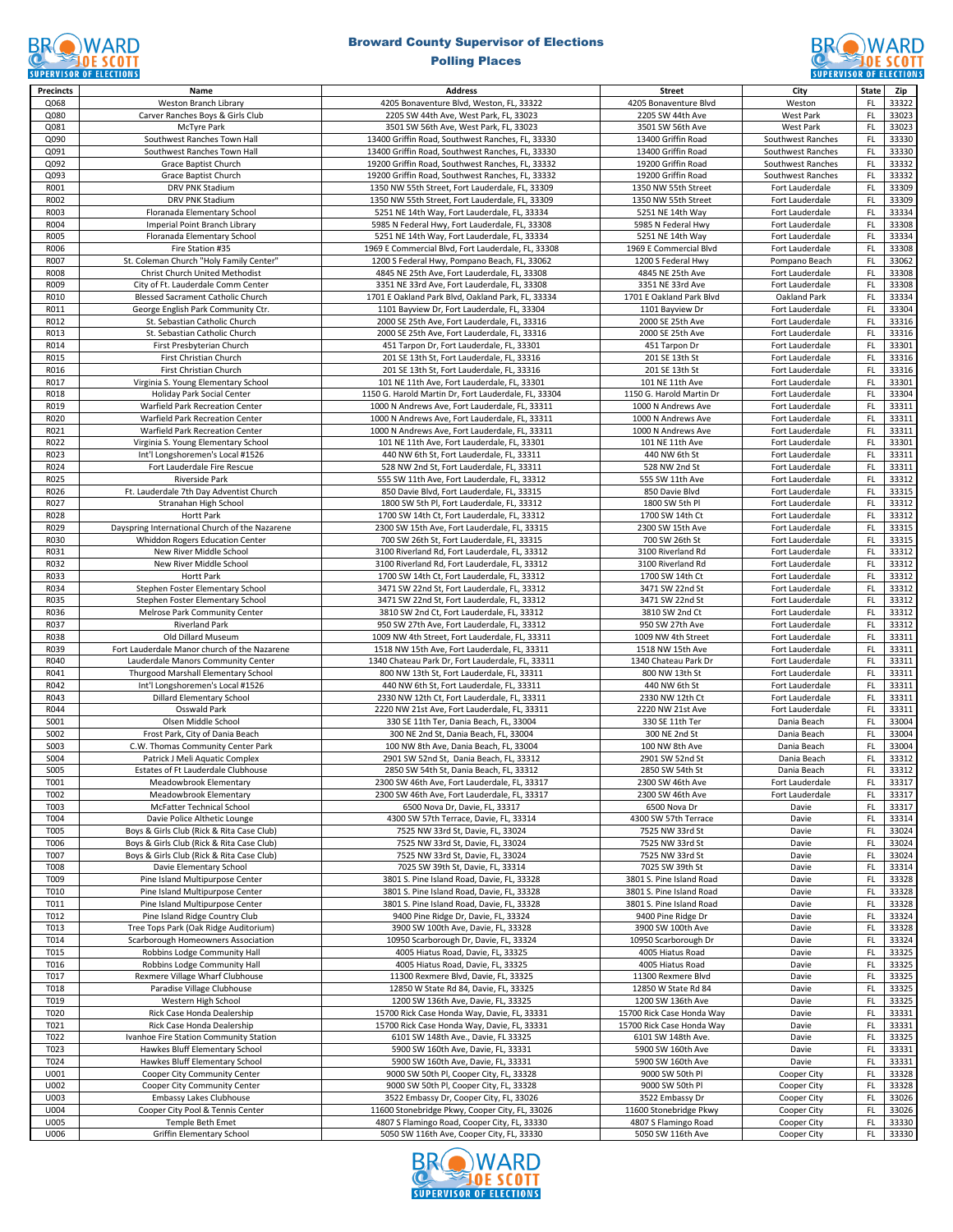### **BROWARD CONTROLL SCOTT**

### Broward County Supervisor of Elections



| <b>Precincts</b> | Name                                                                 | <b>Address</b>                                                                                       | <b>Street</b>                            | City                                   | State         | Zip            |
|------------------|----------------------------------------------------------------------|------------------------------------------------------------------------------------------------------|------------------------------------------|----------------------------------------|---------------|----------------|
| Q068             | Weston Branch Library                                                | 4205 Bonaventure Blvd, Weston, FL, 33322                                                             | 4205 Bonaventure Blvd                    | Weston                                 | FL            | 33322          |
| Q080             | Carver Ranches Boys & Girls Club                                     | 2205 SW 44th Ave, West Park, FL, 33023                                                               | 2205 SW 44th Ave                         | <b>West Park</b>                       | FL            | 33023          |
| Q081             | McTyre Park                                                          | 3501 SW 56th Ave, West Park, FL, 33023                                                               | 3501 SW 56th Ave                         | <b>West Park</b>                       | FL            | 33023          |
| Q090             | Southwest Ranches Town Hall                                          | 13400 Griffin Road, Southwest Ranches, FL, 33330                                                     | 13400 Griffin Road                       | Southwest Ranches                      | FL            | 33330          |
| Q091             | Southwest Ranches Town Hall                                          | 13400 Griffin Road, Southwest Ranches, FL, 33330                                                     | 13400 Griffin Road                       | Southwest Ranches                      | FL            | 33330          |
| Q092<br>Q093     | Grace Baptist Church<br>Grace Baptist Church                         | 19200 Griffin Road, Southwest Ranches, FL, 33332<br>19200 Griffin Road, Southwest Ranches, FL, 33332 | 19200 Griffin Road<br>19200 Griffin Road | Southwest Ranches<br>Southwest Ranches | FL<br>FL      | 33332<br>33332 |
| R001             | DRV PNK Stadium                                                      | 1350 NW 55th Street, Fort Lauderdale, FL, 33309                                                      | 1350 NW 55th Street                      | Fort Lauderdale                        | FL            | 33309          |
| R002             | DRV PNK Stadium                                                      | 1350 NW 55th Street, Fort Lauderdale, FL, 33309                                                      | 1350 NW 55th Street                      | Fort Lauderdale                        | FL            | 33309          |
| R003             | Floranada Elementary School                                          | 5251 NE 14th Way, Fort Lauderdale, FL, 33334                                                         | 5251 NE 14th Way                         | Fort Lauderdale                        | FL            | 33334          |
| R004             | Imperial Point Branch Library                                        | 5985 N Federal Hwy, Fort Lauderdale, FL, 33308                                                       | 5985 N Federal Hwy                       | Fort Lauderdale                        | FL            | 33308          |
| <b>R005</b>      | Floranada Elementary School                                          | 5251 NE 14th Way, Fort Lauderdale, FL, 33334                                                         | 5251 NE 14th Way                         | Fort Lauderdale                        | FL            | 33334          |
| R006             | Fire Station #35                                                     | 1969 E Commercial Blvd, Fort Lauderdale, FL, 33308                                                   | 1969 E Commercial Blvd                   | Fort Lauderdale                        | FL            | 33308          |
| R007             | St. Coleman Church "Holy Family Center"                              | 1200 S Federal Hwy, Pompano Beach, FL, 33062                                                         | 1200 S Federal Hwy                       | Pompano Beach                          | FL            | 33062          |
| R008             | <b>Christ Church United Methodist</b>                                | 4845 NE 25th Ave, Fort Lauderdale, FL, 33308                                                         | 4845 NE 25th Ave                         | Fort Lauderdale                        | FL.           | 33308          |
| R009             | City of Ft. Lauderdale Comm Center                                   | 3351 NE 33rd Ave, Fort Lauderdale, FL, 33308                                                         | 3351 NE 33rd Ave                         | Fort Lauderdale                        | FL            | 33308          |
| R010             | Blessed Sacrament Catholic Church                                    | 1701 E Oakland Park Blvd, Oakland Park, FL, 33334                                                    | 1701 E Oakland Park Blvd                 | Oakland Park                           | FL            | 33334          |
| R011             | George English Park Community Ctr.                                   | 1101 Bayview Dr, Fort Lauderdale, FL, 33304                                                          | 1101 Bayview Dr                          | Fort Lauderdale                        | FL            | 33304          |
| R012             | St. Sebastian Catholic Church                                        | 2000 SE 25th Ave, Fort Lauderdale, FL, 33316                                                         | 2000 SE 25th Ave                         | Fort Lauderdale                        | FL            | 33316          |
| R013             | St. Sebastian Catholic Church                                        | 2000 SE 25th Ave, Fort Lauderdale, FL, 33316                                                         | 2000 SE 25th Ave                         | Fort Lauderdale                        | FL            | 33316          |
| R014             | First Presbyterian Church                                            | 451 Tarpon Dr, Fort Lauderdale, FL, 33301                                                            | 451 Tarpon Dr                            | Fort Lauderdale                        | FL            | 33301          |
| R015             | First Christian Church                                               | 201 SE 13th St, Fort Lauderdale, FL, 33316                                                           | 201 SE 13th St                           | Fort Lauderdale                        | FL            | 33316          |
| R016             | First Christian Church                                               | 201 SE 13th St, Fort Lauderdale, FL, 33316                                                           | 201 SE 13th St                           | Fort Lauderdale                        | FL            | 33316          |
| R017             | Virginia S. Young Elementary School                                  | 101 NE 11th Ave, Fort Lauderdale, FL, 33301                                                          | 101 NE 11th Ave                          | Fort Lauderdale                        | FL            | 33301          |
| R018             | Holiday Park Social Center                                           | 1150 G. Harold Martin Dr, Fort Lauderdale, FL, 33304                                                 | 1150 G. Harold Martin Dr                 | Fort Lauderdale                        | FL            | 33304          |
| R019             | Warfield Park Recreation Center                                      | 1000 N Andrews Ave, Fort Lauderdale, FL, 33311                                                       | 1000 N Andrews Ave                       | Fort Lauderdale                        | FL            | 33311          |
| R020             | Warfield Park Recreation Center                                      | 1000 N Andrews Ave, Fort Lauderdale, FL, 33311                                                       | 1000 N Andrews Ave                       | Fort Lauderdale                        | FL            | 33311          |
| R021             | Warfield Park Recreation Center                                      | 1000 N Andrews Ave, Fort Lauderdale, FL, 33311                                                       | 1000 N Andrews Ave                       | Fort Lauderdale                        | FL            | 33311          |
| R022             | Virginia S. Young Elementary School                                  | 101 NE 11th Ave, Fort Lauderdale, FL, 33301                                                          | 101 NE 11th Ave                          | Fort Lauderdale                        | FL            | 33301          |
| R023             | Int'l Longshoremen's Local #1526                                     | 440 NW 6th St, Fort Lauderdale, FL, 33311                                                            | 440 NW 6th St                            | Fort Lauderdale                        | FL            | 33311          |
| R024             | Fort Lauderdale Fire Rescue                                          | 528 NW 2nd St, Fort Lauderdale, FL, 33311                                                            | 528 NW 2nd St                            | Fort Lauderdale                        | FL            | 33311          |
| R025             | Riverside Park                                                       | 555 SW 11th Ave, Fort Lauderdale, FL, 33312                                                          | 555 SW 11th Ave                          | Fort Lauderdale                        | FL            | 33312          |
| R026             | Ft. Lauderdale 7th Day Adventist Church                              | 850 Davie Blvd, Fort Lauderdale, FL, 33315                                                           | 850 Davie Blvd                           | Fort Lauderdale                        | FL            | 33315          |
| R027             | Stranahan High School                                                | 1800 SW 5th Pl. Fort Lauderdale, FL. 33312                                                           | 1800 SW 5th Pl                           | Fort Lauderdale                        | FL            | 33312          |
| R028             | <b>Hortt Park</b>                                                    | 1700 SW 14th Ct, Fort Lauderdale, FL, 33312                                                          | 1700 SW 14th Ct                          | Fort Lauderdale                        | FL            | 33312          |
| R029             | Dayspring International Church of the Nazarene                       | 2300 SW 15th Ave, Fort Lauderdale, FL, 33315                                                         | 2300 SW 15th Ave                         | Fort Lauderdale                        | FL            | 33315          |
| R030             | Whiddon Rogers Education Center                                      | 700 SW 26th St, Fort Lauderdale, FL, 33315                                                           | 700 SW 26th St                           | Fort Lauderdale                        | FL            | 33315          |
| R031             | New River Middle School                                              | 3100 Riverland Rd, Fort Lauderdale, FL, 33312                                                        | 3100 Riverland Rd                        | Fort Lauderdale                        | FL            | 33312          |
| R032             | New River Middle School                                              | 3100 Riverland Rd, Fort Lauderdale, FL, 33312                                                        | 3100 Riverland Rd                        | Fort Lauderdale                        | FL            | 33312          |
| R033             | Hortt Park                                                           | 1700 SW 14th Ct, Fort Lauderdale, FL, 33312                                                          | 1700 SW 14th Ct                          | Fort Lauderdale                        | FL            | 33312          |
| R034<br>R035     | Stephen Foster Elementary School<br>Stephen Foster Elementary School | 3471 SW 22nd St, Fort Lauderdale, FL, 33312<br>3471 SW 22nd St, Fort Lauderdale, FL, 33312           | 3471 SW 22nd St<br>3471 SW 22nd St       | Fort Lauderdale<br>Fort Lauderdale     | FL<br>FL      | 33312<br>33312 |
| R036             | Melrose Park Community Center                                        | 3810 SW 2nd Ct, Fort Lauderdale, FL, 33312                                                           | 3810 SW 2nd Ct                           | Fort Lauderdale                        | FL            | 33312          |
| R037             | <b>Riverland Park</b>                                                | 950 SW 27th Ave, Fort Lauderdale, FL, 33312                                                          | 950 SW 27th Ave                          | Fort Lauderdale                        | FL            | 33312          |
| R038             | Old Dillard Museum                                                   | 1009 NW 4th Street, Fort Lauderdale, FL, 33311                                                       | 1009 NW 4th Street                       | Fort Lauderdale                        | FL            | 33311          |
| R039             | Fort Lauderdale Manor church of the Nazarene                         | 1518 NW 15th Ave, Fort Lauderdale, FL, 33311                                                         | 1518 NW 15th Ave                         | Fort Lauderdale                        | FL            | 33311          |
| R040             | Lauderdale Manors Community Center                                   | 1340 Chateau Park Dr, Fort Lauderdale, FL, 33311                                                     | 1340 Chateau Park Dr                     | Fort Lauderdale                        | FL            | 33311          |
| R041             | Thurgood Marshall Elementary School                                  | 800 NW 13th St, Fort Lauderdale, FL, 33311                                                           | 800 NW 13th St                           | Fort Lauderdale                        | FL            | 33311          |
| R042             | Int'l Longshoremen's Local #1526                                     | 440 NW 6th St, Fort Lauderdale, FL, 33311                                                            | 440 NW 6th St                            | Fort Lauderdale                        | FL            | 33311          |
| R043             | <b>Dillard Elementary School</b>                                     | 2330 NW 12th Ct, Fort Lauderdale, FL, 33311                                                          | 2330 NW 12th Ct                          | Fort Lauderdale                        | FL            | 33311          |
| R044             | Osswald Park                                                         | 2220 NW 21st Ave, Fort Lauderdale, FL, 33311                                                         | 2220 NW 21st Ave                         | Fort Lauderdale                        | FL            | 33311          |
| S001             | Olsen Middle School                                                  | 330 SE 11th Ter, Dania Beach, FL, 33004                                                              | 330 SE 11th Ter                          | Dania Beach                            | FL            | 33004          |
| S002             | Frost Park, City of Dania Beach                                      | 300 NE 2nd St, Dania Beach, FL, 33004                                                                | 300 NE 2nd St                            | Dania Beach                            | FL            | 33004          |
| S003             | C.W. Thomas Community Center Park                                    | 100 NW 8th Ave, Dania Beach, FL, 33004                                                               | 100 NW 8th Ave                           | Dania Beach                            | FL            | 33004          |
| S004             | Patrick J Meli Aquatic Complex                                       | 2901 SW 52nd St, Dania Beach, FL, 33312                                                              | 2901 SW 52nd St                          | Dania Beach                            | FL            | 33312          |
| <b>SO05</b>      | Estates of Ft Lauderdale Clubhouse                                   | 2850 SW 54th St, Dania Beach, FL, 33312                                                              | 2850 SW 54th St                          | Dania Beach                            | FL            | 33312          |
| T001             | Meadowbrook Elementary                                               | 2300 SW 46th Ave, Fort Lauderdale, FL, 33317                                                         | 2300 SW 46th Ave                         | Fort Lauderdale                        | $\mathsf{FL}$ | 33317          |
| T002             | Meadowbrook Elementary                                               | 2300 SW 46th Ave, Fort Lauderdale, FL, 33317                                                         | 2300 SW 46th Ave                         | Fort Lauderdale                        | FL            | 33317          |
| T003             | McFatter Technical School                                            | 6500 Nova Dr, Davie, FL, 33317                                                                       | 6500 Nova Dr                             | Davie                                  | FL.           | 33317          |
| T004             | Davie Police Althetic Lounge                                         | 4300 SW 57th Terrace, Davie, FL, 33314                                                               | 4300 SW 57th Terrace                     | Davie                                  | FL            | 33314          |
| T005             | Boys & Girls Club (Rick & Rita Case Club)                            | 7525 NW 33rd St, Davie, FL, 33024                                                                    | 7525 NW 33rd St                          | Davie                                  | FL            | 33024          |
| T006             | Boys & Girls Club (Rick & Rita Case Club)                            | 7525 NW 33rd St, Davie, FL, 33024                                                                    | 7525 NW 33rd St                          | Davie                                  | FL            | 33024          |
| T007             | Boys & Girls Club (Rick & Rita Case Club)                            | 7525 NW 33rd St, Davie, FL, 33024                                                                    | 7525 NW 33rd St                          | Davie                                  | FL            | 33024          |
| T008             | Davie Elementary School                                              | 7025 SW 39th St, Davie, FL, 33314                                                                    | 7025 SW 39th St                          | Davie                                  | <b>FL</b>     | 33314          |
| T009             | Pine Island Multipurpose Center                                      | 3801 S. Pine Island Road, Davie, FL, 33328                                                           | 3801 S. Pine Island Road                 | Davie                                  | FL            | 33328          |
| T010             | Pine Island Multipurpose Center                                      | 3801 S. Pine Island Road, Davie, FL, 33328                                                           | 3801 S. Pine Island Road                 | Davie                                  | FL            | 33328          |
| T011             | Pine Island Multipurpose Center                                      | 3801 S. Pine Island Road, Davie, FL, 33328                                                           | 3801 S. Pine Island Road                 | Davie                                  | FL            | 33328          |
| T012             | Pine Island Ridge Country Club                                       | 9400 Pine Ridge Dr, Davie, FL, 33324                                                                 | 9400 Pine Ridge Dr                       | Davie                                  | <b>FL</b>     | 33324          |
| T013             | Tree Tops Park (Oak Ridge Auditorium)                                | 3900 SW 100th Ave, Davie, FL, 33328                                                                  | 3900 SW 100th Ave                        | Davie                                  | FL.           | 33328          |
| T014             | Scarborough Homeowners Association                                   | 10950 Scarborough Dr, Davie, FL, 33324                                                               | 10950 Scarborough Dr                     | Davie                                  | FL            | 33324          |
| T015<br>T016     | Robbins Lodge Community Hall                                         | 4005 Hiatus Road, Davie, FL, 33325                                                                   | 4005 Hiatus Road<br>4005 Hiatus Road     | Davie                                  | FL<br>FL      | 33325          |
| T017             | Robbins Lodge Community Hall<br>Rexmere Village Wharf Clubhouse      | 4005 Hiatus Road, Davie, FL, 33325<br>11300 Rexmere Blvd, Davie, FL, 33325                           | 11300 Rexmere Blvd                       | Davie<br>Davie                         | FL            | 33325<br>33325 |
| T018             | Paradise Village Clubhouse                                           | 12850 W State Rd 84, Davie, FL, 33325                                                                | 12850 W State Rd 84                      | Davie                                  | FL            | 33325          |
| T019             | Western High School                                                  | 1200 SW 136th Ave, Davie, FL, 33325                                                                  | 1200 SW 136th Ave                        | Davie                                  | FL            | 33325          |
| T020             | Rick Case Honda Dealership                                           | 15700 Rick Case Honda Way, Davie, FL, 33331                                                          | 15700 Rick Case Honda Way                | Davie                                  | FL            | 33331          |
| T021             | Rick Case Honda Dealership                                           | 15700 Rick Case Honda Way, Davie, FL, 33331                                                          | 15700 Rick Case Honda Way                | Davie                                  | FL            | 33331          |
| T022             | Ivanhoe Fire Station Community Station                               | 6101 SW 148th Ave., Davie, FL 33325                                                                  | 6101 SW 148th Ave.                       | Davie                                  | <b>FL</b>     | 33325          |
| T023             | Hawkes Bluff Elementary School                                       | 5900 SW 160th Ave, Davie, FL, 33331                                                                  | 5900 SW 160th Ave                        | Davie                                  | FL.           | 33331          |
| T024             | Hawkes Bluff Elementary School                                       | 5900 SW 160th Ave, Davie, FL, 33331                                                                  | 5900 SW 160th Ave                        | Davie                                  | FL            | 33331          |
| U001             | Cooper City Community Center                                         | 9000 SW 50th Pl, Cooper City, FL, 33328                                                              | 9000 SW 50th Pl                          | Cooper City                            | FL            | 33328          |
| U002             | Cooper City Community Center                                         | 9000 SW 50th Pl, Cooper City, FL, 33328                                                              | 9000 SW 50th Pl                          | Cooper City                            | FL            | 33328          |
| U003             | Embassy Lakes Clubhouse                                              | 3522 Embassy Dr, Cooper City, FL, 33026                                                              | 3522 Embassy Dr                          | Cooper City                            | <b>FL</b>     | 33026          |
| U004             | Cooper City Pool & Tennis Center                                     | 11600 Stonebridge Pkwy, Cooper City, FL, 33026                                                       | 11600 Stonebridge Pkwy                   | Cooper City                            | FL            | 33026          |
| U005             | Temple Beth Emet                                                     | 4807 S Flamingo Road, Cooper City, FL, 33330                                                         | 4807 S Flamingo Road                     | Cooper City                            | FL            | 33330          |
| U006             | <b>Griffin Elementary School</b>                                     | 5050 SW 116th Ave, Cooper City, FL, 33330                                                            | 5050 SW 116th Ave                        | Cooper City                            | FL            | 33330          |
|                  |                                                                      |                                                                                                      |                                          |                                        |               |                |

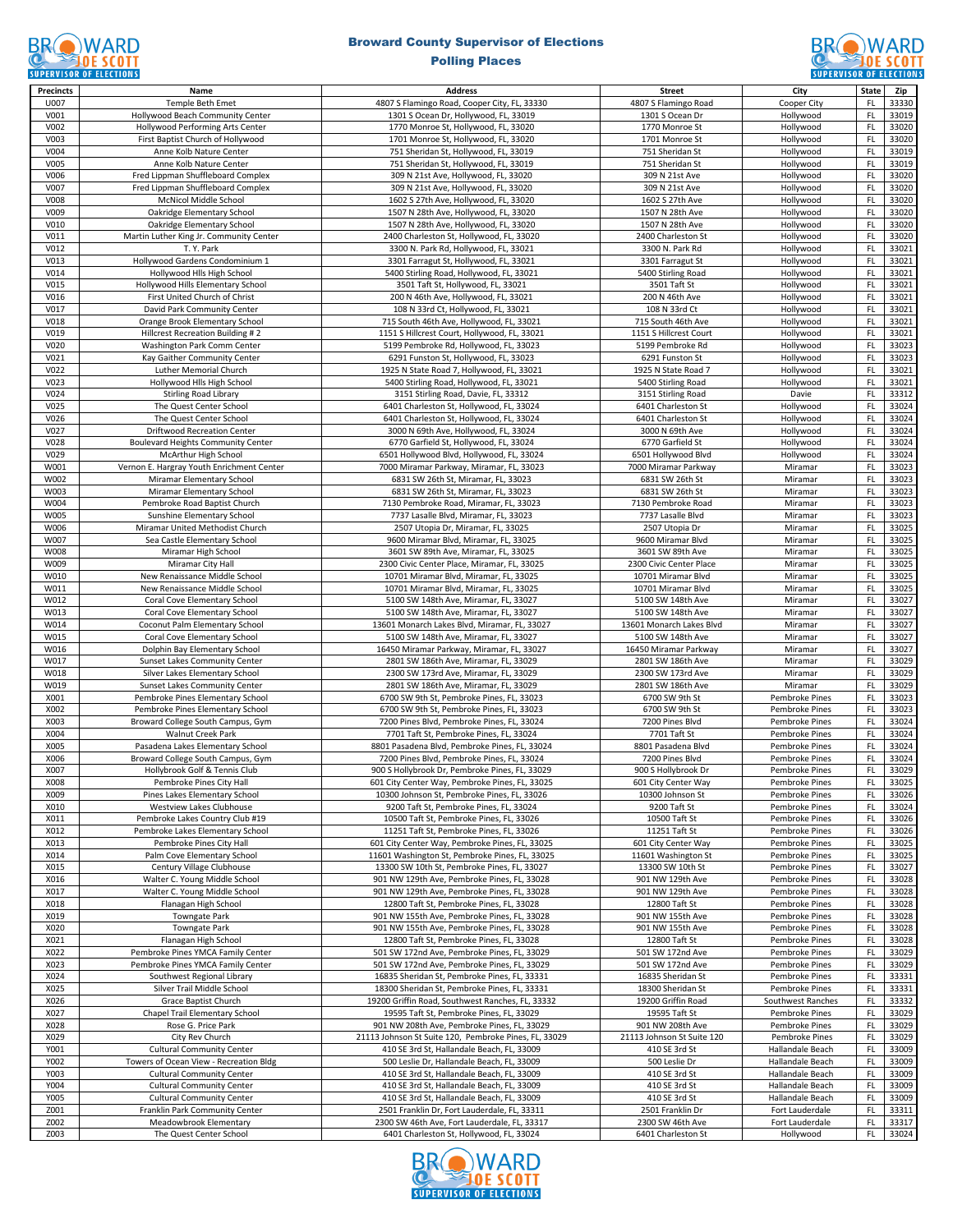### Broward County Supervisor of Elections



| <b>Precincts</b>         | Name                                                                 | <b>Address</b>                                                                                | <b>Street</b>                                 | City                                    | <b>State</b>           | Zip            |
|--------------------------|----------------------------------------------------------------------|-----------------------------------------------------------------------------------------------|-----------------------------------------------|-----------------------------------------|------------------------|----------------|
| U007                     | Temple Beth Emet                                                     | 4807 S Flamingo Road, Cooper City, FL, 33330                                                  | 4807 S Flamingo Road                          | Cooper City                             | FL.                    | 33330          |
| V001                     | Hollywood Beach Community Center<br>Hollywood Performing Arts Center | 1301 S Ocean Dr, Hollywood, FL, 33019                                                         | 1301 S Ocean Dr                               | Hollywood<br>Hollywood                  | FL.                    | 33019          |
| V002<br>V003             | First Baptist Church of Hollywood                                    | 1770 Monroe St, Hollywood, FL, 33020<br>1701 Monroe St, Hollywood, FL, 33020                  | 1770 Monroe St<br>1701 Monroe St              | Hollywood                               | <b>FL</b><br>FL.       | 33020<br>33020 |
| V004                     | Anne Kolb Nature Center                                              | 751 Sheridan St, Hollywood, FL, 33019                                                         | 751 Sheridan St                               | Hollywood                               | FL                     | 33019          |
| V005                     | Anne Kolb Nature Center                                              | 751 Sheridan St, Hollywood, FL, 33019                                                         | 751 Sheridan St                               | Hollywood                               | FL.                    | 33019          |
| V006                     | Fred Lippman Shuffleboard Complex                                    | 309 N 21st Ave, Hollywood, FL, 33020                                                          | 309 N 21st Ave                                | Hollywood                               | FL.                    | 33020          |
| V007                     | Fred Lippman Shuffleboard Complex                                    | 309 N 21st Ave, Hollywood, FL, 33020                                                          | 309 N 21st Ave                                | Hollywood                               | FL.                    | 33020          |
| V008                     | McNicol Middle School                                                | 1602 S 27th Ave, Hollywood, FL, 33020                                                         | 1602 S 27th Ave                               | Hollywood                               | FL.                    | 33020          |
| V009                     | Oakridge Elementary School                                           | 1507 N 28th Ave, Hollywood, FL, 33020                                                         | 1507 N 28th Ave                               | Hollywood                               | FL                     | 33020          |
| V010                     | Oakridge Elementary School                                           | 1507 N 28th Ave, Hollywood, FL, 33020                                                         | 1507 N 28th Ave                               | Hollywood                               | FL.                    | 33020          |
| V011                     | Martin Luther King Jr. Community Center                              | 2400 Charleston St, Hollywood, FL, 33020                                                      | 2400 Charleston St                            | Hollywood                               | FL.                    | 33020          |
| V012<br>V <sub>013</sub> | T. Y. Park<br>Hollywood Gardens Condominium 1                        | 3300 N. Park Rd, Hollywood, FL, 33021<br>3301 Farragut St, Hollywood, FL, 33021               | 3300 N. Park Rd<br>3301 Farragut St           | Hollywood<br>Hollywood                  | <b>FL</b><br>FL.       | 33021<br>33021 |
| V014                     | Hollywood Hlls High School                                           | 5400 Stirling Road, Hollywood, FL, 33021                                                      | 5400 Stirling Road                            | Hollywood                               | FL                     | 33021          |
| V015                     | Hollywood Hills Elementary School                                    | 3501 Taft St, Hollywood, FL, 33021                                                            | 3501 Taft St                                  | Hollywood                               | FL                     | 33021          |
| V016                     | First United Church of Christ                                        | 200 N 46th Ave, Hollywood, FL, 33021                                                          | 200 N 46th Ave                                | Hollywood                               | FL.                    | 33021          |
| V017                     | David Park Community Center                                          | 108 N 33rd Ct, Hollywood, FL, 33021                                                           | 108 N 33rd Ct                                 | Hollywood                               | FL.                    | 33021          |
| V018                     | Orange Brook Elementary School                                       | 715 South 46th Ave, Hollywood, FL, 33021                                                      | 715 South 46th Ave                            | Hollywood                               | <b>FL</b>              | 33021          |
| V019                     | Hillcrest Recreation Building #2                                     | 1151 S Hillcrest Court, Hollywood, FL, 33021                                                  | 1151 S Hillcrest Court                        | Hollywood                               | FL                     | 33021          |
| V020                     | Washington Park Comm Center                                          | 5199 Pembroke Rd, Hollywood, FL, 33023                                                        | 5199 Pembroke Rd                              | Hollywood                               | FL                     | 33023          |
| V021                     | Kay Gaither Community Center                                         | 6291 Funston St, Hollywood, FL, 33023                                                         | 6291 Funston St                               | Hollywood                               | FL.                    | 33023          |
| V022<br>V023             | Luther Memorial Church<br>Hollywood Hlls High School                 | 1925 N State Road 7, Hollywood, FL, 33021<br>5400 Stirling Road, Hollywood, FL, 33021         | 1925 N State Road 7                           | Hollywood<br>Hollywood                  | FL<br><b>FL</b>        | 33021<br>33021 |
| V024                     | <b>Stirling Road Library</b>                                         | 3151 Stirling Road, Davie, FL, 33312                                                          | 5400 Stirling Road<br>3151 Stirling Road      | Davie                                   | FL                     | 33312          |
| V025                     | The Quest Center School                                              | 6401 Charleston St, Hollywood, FL, 33024                                                      | 6401 Charleston St                            | Hollywood                               | <b>FL</b>              | 33024          |
| V026                     | The Quest Center School                                              | 6401 Charleston St, Hollywood, FL, 33024                                                      | 6401 Charleston St                            | Hollywood                               | FL.                    | 33024          |
| V027                     | <b>Driftwood Recreation Center</b>                                   | 3000 N 69th Ave, Hollywood, FL, 33024                                                         | 3000 N 69th Ave                               | Hollywood                               | FL                     | 33024          |
| V028                     | <b>Boulevard Heights Community Center</b>                            | 6770 Garfield St, Hollywood, FL, 33024                                                        | 6770 Garfield St                              | Hollywood                               | FL.                    | 33024          |
| V029                     | McArthur High School                                                 | 6501 Hollywood Blvd, Hollywood, FL, 33024                                                     | 6501 Hollywood Blvd                           | Hollvwood                               | FL                     | 33024          |
| W001                     | Vernon E. Hargray Youth Enrichment Center                            | 7000 Miramar Parkway, Miramar, FL, 33023                                                      | 7000 Miramar Parkway                          | Miramar                                 | FL                     | 33023          |
| W002                     | Miramar Elementary School                                            | 6831 SW 26th St, Miramar, FL, 33023                                                           | 6831 SW 26th St                               | Miramar                                 | FL.                    | 33023          |
| W003<br>W004             | Miramar Elementary School<br>Pembroke Road Baptist Church            | 6831 SW 26th St, Miramar, FL, 33023<br>7130 Pembroke Road, Miramar, FL, 33023                 | 6831 SW 26th St<br>7130 Pembroke Road         | Miramar<br>Miramar                      | FL<br>FL.              | 33023<br>33023 |
| W005                     | Sunshine Elementary School                                           | 7737 Lasalle Blvd, Miramar, FL, 33023                                                         | 7737 Lasalle Blvd                             | Miramar                                 | FL                     | 33023          |
| W006                     | Miramar United Methodist Church                                      | 2507 Utopia Dr, Miramar, FL, 33025                                                            | 2507 Utopia Dr                                | Miramar                                 | <b>FL</b>              | 33025          |
| W007                     | Sea Castle Elementary School                                         | 9600 Miramar Blvd, Miramar, FL, 33025                                                         | 9600 Miramar Blvd                             | Miramar                                 | FL.                    | 33025          |
| W008                     | Miramar High School                                                  | 3601 SW 89th Ave, Miramar, FL, 33025                                                          | 3601 SW 89th Ave                              | Miramar                                 | FL                     | 33025          |
| W009                     | Miramar City Hall                                                    | 2300 Civic Center Place, Miramar, FL, 33025                                                   | 2300 Civic Center Place                       | Miramar                                 | FL.                    | 33025          |
| W010                     | New Renaissance Middle School                                        | 10701 Miramar Blvd, Miramar, FL, 33025                                                        | 10701 Miramar Blvd                            | Miramar                                 | FL.                    | 33025          |
| W011                     | New Renaissance Middle School                                        | 10701 Miramar Blvd, Miramar, FL, 33025                                                        | 10701 Miramar Blvd                            | Miramar                                 | FL.                    | 33025          |
| W012                     | Coral Cove Elementary School                                         | 5100 SW 148th Ave, Miramar, FL, 33027                                                         | 5100 SW 148th Ave                             | Miramar                                 | FL.                    | 33027          |
| W013<br>W014             | Coral Cove Elementary School<br>Coconut Palm Elementary School       | 5100 SW 148th Ave, Miramar, FL, 33027<br>13601 Monarch Lakes Blvd, Miramar, FL, 33027         | 5100 SW 148th Ave<br>13601 Monarch Lakes Blvd | Miramar<br>Miramar                      | FL<br>FL.              | 33027<br>33027 |
| W015                     | Coral Cove Elementary School                                         | 5100 SW 148th Ave, Miramar, FL, 33027                                                         | 5100 SW 148th Ave                             | Miramar                                 | FL.                    | 33027          |
| W016                     | Dolphin Bay Elementary School                                        | 16450 Miramar Parkway, Miramar, FL, 33027                                                     | 16450 Miramar Parkway                         | Miramar                                 | FL.                    | 33027          |
| W017                     | Sunset Lakes Community Center                                        | 2801 SW 186th Ave, Miramar, FL, 33029                                                         | 2801 SW 186th Ave                             | Miramar                                 | FL.                    | 33029          |
| W018                     | Silver Lakes Elementary School                                       | 2300 SW 173rd Ave, Miramar, FL, 33029                                                         | 2300 SW 173rd Ave                             | Miramar                                 | FL                     | 33029          |
| W019                     | Sunset Lakes Community Center                                        | 2801 SW 186th Ave, Miramar, FL, 33029                                                         | 2801 SW 186th Ave                             | Miramar                                 | FL.                    | 33029          |
| X001                     | Pembroke Pines Elementary School                                     | 6700 SW 9th St, Pembroke Pines, FL, 33023                                                     | 6700 SW 9th St                                | Pembroke Pines                          | FL.                    | 33023          |
| X002                     | Pembroke Pines Elementary School                                     | 6700 SW 9th St. Pembroke Pines, FL, 33023                                                     | 6700 SW 9th St                                | Pembroke Pines                          | FL.                    | 33023          |
| X003                     | Broward College South Campus, Gym                                    | 7200 Pines Blvd, Pembroke Pines, FL, 33024                                                    | 7200 Pines Blvd                               | Pembroke Pines                          | FL.                    | 33024<br>33024 |
| X004<br>X005             | Walnut Creek Park<br>Pasadena Lakes Elementary School                | 7701 Taft St, Pembroke Pines, FL, 33024<br>8801 Pasadena Blvd, Pembroke Pines, FL, 33024      | 7701 Taft St<br>8801 Pasadena Blvd            | Pembroke Pines<br><b>Pembroke Pines</b> | <b>FL</b><br>FL        | 33024          |
| X006                     | Broward College South Campus, Gym                                    | 7200 Pines Blvd, Pembroke Pines, FL, 33024                                                    | 7200 Pines Blvd                               | <b>Pembroke Pines</b>                   | FL                     | 33024          |
| X007                     | Hollybrook Golf & Tennis Club                                        | 900 S Hollybrook Dr, Pembroke Pines, FL, 33029                                                | 900 S Hollybrook Dr                           | Pembroke Pines                          | $\mathsf{FL}$          | 33029          |
| <b>XUUX</b>              | Pembroke Pines City Hall                                             | 601 City Center Way, Pembroke Pines, FL, 33025                                                | 601 City Center Way                           | Pembroke Pines                          | FL.                    | 33025          |
| X009                     | Pines Lakes Elementary School                                        | 10300 Johnson St, Pembroke Pines, FL, 33026                                                   | 10300 Johnson St                              | Pembroke Pines                          | FL.                    | 33026          |
| X010                     | Westview Lakes Clubhouse                                             | 9200 Taft St, Pembroke Pines, FL, 33024                                                       | 9200 Taft St                                  | Pembroke Pines                          | FL                     | 33024          |
| X011                     | Pembroke Lakes Country Club #19                                      | 10500 Taft St, Pembroke Pines, FL, 33026                                                      | 10500 Taft St                                 | Pembroke Pines                          | FL                     | 33026          |
| X012                     | Pembroke Lakes Elementary School                                     | 11251 Taft St, Pembroke Pines, FL, 33026                                                      | 11251 Taft St                                 | Pembroke Pines                          | FL                     | 33026          |
| X013                     | Pembroke Pines City Hall                                             | 601 City Center Way, Pembroke Pines, FL, 33025                                                | 601 City Center Way                           | Pembroke Pines                          | FL.                    | 33025          |
| X014<br>X015             | Palm Cove Elementary School<br>Century Village Clubhouse             | 11601 Washington St, Pembroke Pines, FL, 33025<br>13300 SW 10th St, Pembroke Pines, FL, 33027 | 11601 Washington St<br>13300 SW 10th St       | Pembroke Pines<br>Pembroke Pines        | <b>FL</b><br><b>FL</b> | 33025<br>33027 |
| X016                     | Walter C. Young Middle School                                        | 901 NW 129th Ave, Pembroke Pines, FL, 33028                                                   | 901 NW 129th Ave                              | Pembroke Pines                          | FL                     | 33028          |
| X017                     | Walter C. Young Middle School                                        | 901 NW 129th Ave, Pembroke Pines, FL, 33028                                                   | 901 NW 129th Ave                              | Pembroke Pines                          | <b>FL</b>              | 33028          |
| X018                     | Flanagan High School                                                 | 12800 Taft St, Pembroke Pines, FL, 33028                                                      | 12800 Taft St                                 | Pembroke Pines                          | <b>FL</b>              | 33028          |
| X019                     | Towngate Park                                                        | 901 NW 155th Ave, Pembroke Pines, FL, 33028                                                   | 901 NW 155th Ave                              | Pembroke Pines                          | FL                     | 33028          |
| X020                     | <b>Towngate Park</b>                                                 | 901 NW 155th Ave, Pembroke Pines, FL, 33028                                                   | 901 NW 155th Ave                              | Pembroke Pines                          | FL                     | 33028          |
| X021                     | Flanagan High School                                                 | 12800 Taft St, Pembroke Pines, FL, 33028                                                      | 12800 Taft St                                 | <b>Pembroke Pines</b>                   | FL                     | 33028          |
| X022                     | Pembroke Pines YMCA Family Center                                    | 501 SW 172nd Ave, Pembroke Pines, FL, 33029                                                   | 501 SW 172nd Ave                              | Pembroke Pines                          | <b>FL</b>              | 33029          |
| X023                     | Pembroke Pines YMCA Family Center                                    | 501 SW 172nd Ave, Pembroke Pines, FL, 33029                                                   | 501 SW 172nd Ave                              | <b>Pembroke Pines</b>                   | FL.                    | 33029          |
| X024<br>X025             | Southwest Regional Library<br>Silver Trail Middle School             | 16835 Sheridan St, Pembroke Pines, FL, 33331<br>18300 Sheridan St, Pembroke Pines, FL, 33331  | 16835 Sheridan St<br>18300 Sheridan St        | Pembroke Pines<br>Pembroke Pines        | <b>FL</b><br>FL.       | 33331<br>33331 |
| X026                     | Grace Baptist Church                                                 | 19200 Griffin Road, Southwest Ranches, FL, 33332                                              | 19200 Griffin Road                            | Southwest Ranches                       | $\mathsf{FL}$          | 33332          |
| X027                     | Chapel Trail Elementary School                                       | 19595 Taft St, Pembroke Pines, FL, 33029                                                      | 19595 Taft St                                 | Pembroke Pines                          | <b>FL</b>              | 33029          |
| X028                     | Rose G. Price Park                                                   | 901 NW 208th Ave, Pembroke Pines, FL, 33029                                                   | 901 NW 208th Ave                              | Pembroke Pines                          | <b>FL</b>              | 33029          |
| X029                     | City Rev Church                                                      | 21113 Johnson St Suite 120, Pembroke Pines, FL, 33029                                         | 21113 Johnson St Suite 120                    | Pembroke Pines                          | FL                     | 33029          |
| Y001                     | <b>Cultural Community Center</b>                                     | 410 SE 3rd St, Hallandale Beach, FL, 33009                                                    | 410 SE 3rd St                                 | Hallandale Beach                        | FL.                    | 33009          |
| Y002                     | Towers of Ocean View - Recreation Bldg                               | 500 Leslie Dr, Hallandale Beach, FL, 33009                                                    | 500 Leslie Dr                                 | Hallandale Beach                        | FL                     | 33009          |
| Y003                     | <b>Cultural Community Center</b>                                     | 410 SE 3rd St, Hallandale Beach, FL, 33009                                                    | 410 SE 3rd St                                 | Hallandale Beach                        | <b>FL</b>              | 33009          |
| Y004                     | <b>Cultural Community Center</b>                                     | 410 SE 3rd St, Hallandale Beach, FL, 33009                                                    | 410 SE 3rd St                                 | Hallandale Beach                        | FL                     | 33009          |
| Y005                     | <b>Cultural Community Center</b>                                     | 410 SE 3rd St, Hallandale Beach, FL, 33009                                                    | 410 SE 3rd St                                 | Hallandale Beach                        | FL                     | 33009          |
| Z001<br>Z002             | Franklin Park Community Center<br>Meadowbrook Elementary             | 2501 Franklin Dr, Fort Lauderdale, FL, 33311<br>2300 SW 46th Ave, Fort Lauderdale, FL, 33317  | 2501 Franklin Dr<br>2300 SW 46th Ave          | Fort Lauderdale<br>Fort Lauderdale      | FL<br>$\mathsf{FL}$    | 33311<br>33317 |
| Z003                     | The Quest Center School                                              | 6401 Charleston St, Hollywood, FL, 33024                                                      | 6401 Charleston St                            | Hollywood                               | FL.                    | 33024          |
|                          |                                                                      |                                                                                               |                                               |                                         |                        |                |